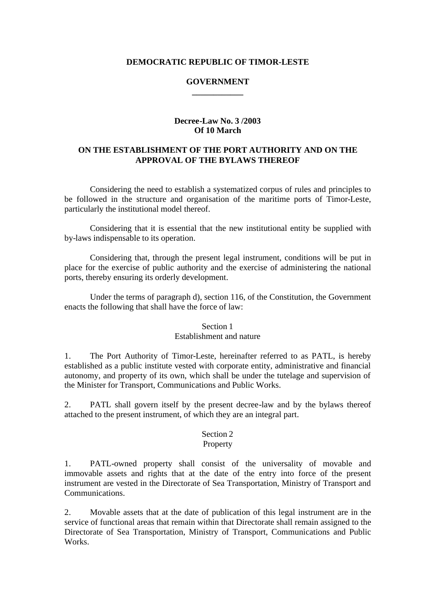### **DEMOCRATIC REPUBLIC OF TIMOR-LESTE**

### **GOVERNMENT \_\_\_\_\_\_\_\_\_\_\_\_**

### **Decree-Law No. 3 /2003 Of 10 March**

# **ON THE ESTABLISHMENT OF THE PORT AUTHORITY AND ON THE APPROVAL OF THE BYLAWS THEREOF**

Considering the need to establish a systematized corpus of rules and principles to be followed in the structure and organisation of the maritime ports of Timor-Leste, particularly the institutional model thereof.

Considering that it is essential that the new institutional entity be supplied with by-laws indispensable to its operation.

Considering that, through the present legal instrument, conditions will be put in place for the exercise of public authority and the exercise of administering the national ports, thereby ensuring its orderly development.

Under the terms of paragraph d), section 116, of the Constitution, the Government enacts the following that shall have the force of law:

#### Section 1 Establishment and nature

1. The Port Authority of Timor-Leste, hereinafter referred to as PATL, is hereby established as a public institute vested with corporate entity, administrative and financial autonomy, and property of its own, which shall be under the tutelage and supervision of the Minister for Transport, Communications and Public Works.

2. PATL shall govern itself by the present decree-law and by the bylaws thereof attached to the present instrument, of which they are an integral part.

#### Section 2

#### Property

1. PATL-owned property shall consist of the universality of movable and immovable assets and rights that at the date of the entry into force of the present instrument are vested in the Directorate of Sea Transportation, Ministry of Transport and Communications.

2. Movable assets that at the date of publication of this legal instrument are in the service of functional areas that remain within that Directorate shall remain assigned to the Directorate of Sea Transportation, Ministry of Transport, Communications and Public Works.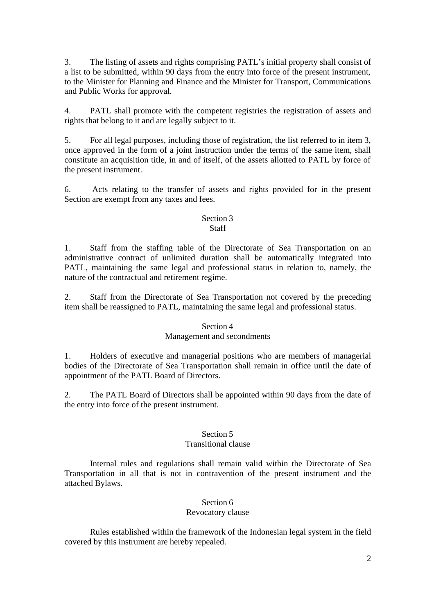3. The listing of assets and rights comprising PATL's initial property shall consist of a list to be submitted, within 90 days from the entry into force of the present instrument, to the Minister for Planning and Finance and the Minister for Transport, Communications and Public Works for approval.

4. PATL shall promote with the competent registries the registration of assets and rights that belong to it and are legally subject to it.

5. For all legal purposes, including those of registration, the list referred to in item 3, once approved in the form of a joint instruction under the terms of the same item, shall constitute an acquisition title, in and of itself, of the assets allotted to PATL by force of the present instrument.

6. Acts relating to the transfer of assets and rights provided for in the present Section are exempt from any taxes and fees.

#### Section 3 Staff

1. Staff from the staffing table of the Directorate of Sea Transportation on an administrative contract of unlimited duration shall be automatically integrated into PATL, maintaining the same legal and professional status in relation to, namely, the nature of the contractual and retirement regime.

2. Staff from the Directorate of Sea Transportation not covered by the preceding item shall be reassigned to PATL, maintaining the same legal and professional status.

# Section 4

# Management and secondments

1. Holders of executive and managerial positions who are members of managerial bodies of the Directorate of Sea Transportation shall remain in office until the date of appointment of the PATL Board of Directors.

2. The PATL Board of Directors shall be appointed within 90 days from the date of the entry into force of the present instrument.

#### Section 5 Transitional clause

Internal rules and regulations shall remain valid within the Directorate of Sea Transportation in all that is not in contravention of the present instrument and the attached Bylaws.

# Section 6

# Revocatory clause

Rules established within the framework of the Indonesian legal system in the field covered by this instrument are hereby repealed.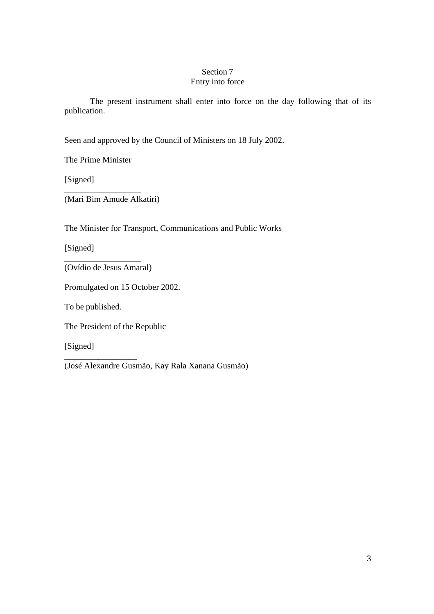# Section 7 Entry into force

The present instrument shall enter into force on the day following that of its publication.

Seen and approved by the Council of Ministers on 18 July 2002.

The Prime Minister

[Signed]

\_\_\_\_\_\_\_\_\_\_\_\_\_\_\_\_\_\_ (Mari Bim Amude Alkatiri)

The Minister for Transport, Communications and Public Works

[Signed]

(Ovídio de Jesus Amaral)

\_\_\_\_\_\_\_\_\_\_\_\_\_\_\_\_\_\_

Promulgated on 15 October 2002.

To be published.

\_\_\_\_\_\_\_\_\_\_\_\_\_\_\_\_\_

The President of the Republic

[Signed]

(José Alexandre Gusmão, Kay Rala Xanana Gusmão)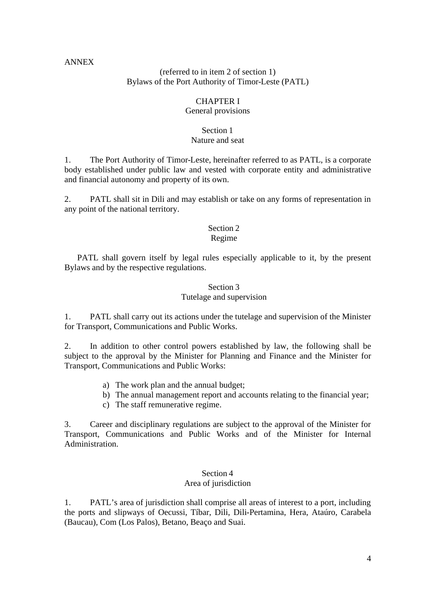### ANNEX

### (referred to in item 2 of section 1) Bylaws of the Port Authority of Timor-Leste (PATL)

# CHAPTER I

### General provisions

#### Section 1

### Nature and seat

1. The Port Authority of Timor-Leste, hereinafter referred to as PATL, is a corporate body established under public law and vested with corporate entity and administrative and financial autonomy and property of its own.

2. PATL shall sit in Dili and may establish or take on any forms of representation in any point of the national territory.

# Section 2

# Regime

PATL shall govern itself by legal rules especially applicable to it, by the present Bylaws and by the respective regulations.

# Section 3

### Tutelage and supervision

1. PATL shall carry out its actions under the tutelage and supervision of the Minister for Transport, Communications and Public Works.

2. In addition to other control powers established by law, the following shall be subject to the approval by the Minister for Planning and Finance and the Minister for Transport, Communications and Public Works:

- a) The work plan and the annual budget;
- b) The annual management report and accounts relating to the financial year;
- c) The staff remunerative regime.

3. Career and disciplinary regulations are subject to the approval of the Minister for Transport, Communications and Public Works and of the Minister for Internal Administration.

# Section 4

### Area of jurisdiction

1. PATL's area of jurisdiction shall comprise all areas of interest to a port, including the ports and slipways of Oecussi, Tíbar, Dili, Dili-Pertamina, Hera, Ataúro, Carabela (Baucau), Com (Los Palos), Betano, Beaço and Suai.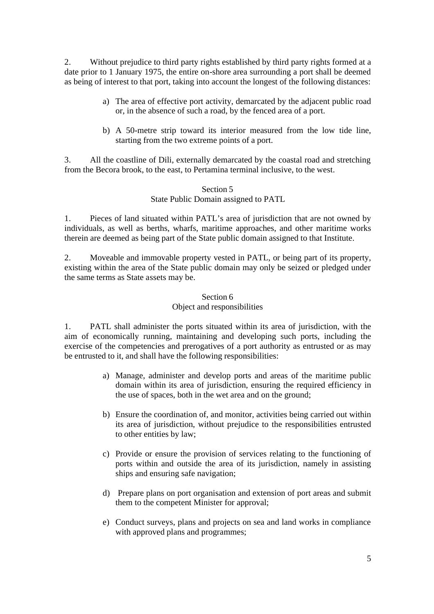2. Without prejudice to third party rights established by third party rights formed at a date prior to 1 January 1975, the entire on-shore area surrounding a port shall be deemed as being of interest to that port, taking into account the longest of the following distances:

- a) The area of effective port activity, demarcated by the adjacent public road or, in the absence of such a road, by the fenced area of a port.
- b) A 50-metre strip toward its interior measured from the low tide line, starting from the two extreme points of a port.

3. All the coastline of Dili, externally demarcated by the coastal road and stretching from the Becora brook, to the east, to Pertamina terminal inclusive, to the west.

### Section 5

### State Public Domain assigned to PATL

1. Pieces of land situated within PATL's area of jurisdiction that are not owned by individuals, as well as berths, wharfs, maritime approaches, and other maritime works therein are deemed as being part of the State public domain assigned to that Institute.

2. Moveable and immovable property vested in PATL, or being part of its property, existing within the area of the State public domain may only be seized or pledged under the same terms as State assets may be.

#### Section 6 Object and responsibilities

1. PATL shall administer the ports situated within its area of jurisdiction, with the aim of economically running, maintaining and developing such ports, including the exercise of the competencies and prerogatives of a port authority as entrusted or as may be entrusted to it, and shall have the following responsibilities:

- a) Manage, administer and develop ports and areas of the maritime public domain within its area of jurisdiction, ensuring the required efficiency in the use of spaces, both in the wet area and on the ground;
- b) Ensure the coordination of, and monitor, activities being carried out within its area of jurisdiction, without prejudice to the responsibilities entrusted to other entities by law;
- c) Provide or ensure the provision of services relating to the functioning of ports within and outside the area of its jurisdiction, namely in assisting ships and ensuring safe navigation;
- d) Prepare plans on port organisation and extension of port areas and submit them to the competent Minister for approval;
- e) Conduct surveys, plans and projects on sea and land works in compliance with approved plans and programmes: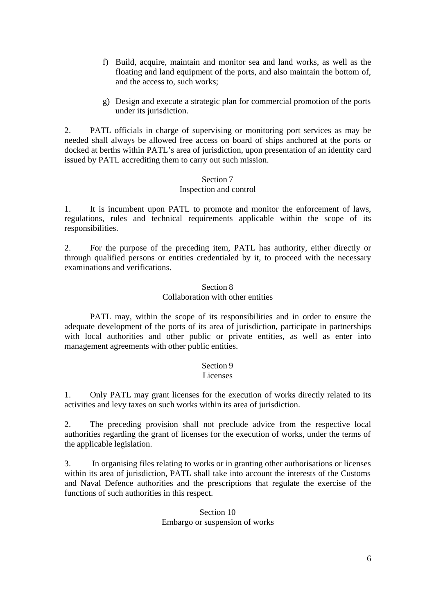- f) Build, acquire, maintain and monitor sea and land works, as well as the floating and land equipment of the ports, and also maintain the bottom of, and the access to, such works;
- g) Design and execute a strategic plan for commercial promotion of the ports under its jurisdiction.

2. PATL officials in charge of supervising or monitoring port services as may be needed shall always be allowed free access on board of ships anchored at the ports or docked at berths within PATL's area of jurisdiction, upon presentation of an identity card issued by PATL accrediting them to carry out such mission.

### Section 7 Inspection and control

1. It is incumbent upon PATL to promote and monitor the enforcement of laws, regulations, rules and technical requirements applicable within the scope of its responsibilities.

2. For the purpose of the preceding item, PATL has authority, either directly or through qualified persons or entities credentialed by it, to proceed with the necessary examinations and verifications.

### Section 8 Collaboration with other entities

PATL may, within the scope of its responsibilities and in order to ensure the adequate development of the ports of its area of jurisdiction, participate in partnerships with local authorities and other public or private entities, as well as enter into management agreements with other public entities.

# Section 9

### Licenses

1. Only PATL may grant licenses for the execution of works directly related to its activities and levy taxes on such works within its area of jurisdiction.

2. The preceding provision shall not preclude advice from the respective local authorities regarding the grant of licenses for the execution of works, under the terms of the applicable legislation.

3. In organising files relating to works or in granting other authorisations or licenses within its area of jurisdiction, PATL shall take into account the interests of the Customs and Naval Defence authorities and the prescriptions that regulate the exercise of the functions of such authorities in this respect.

# Section 10 Embargo or suspension of works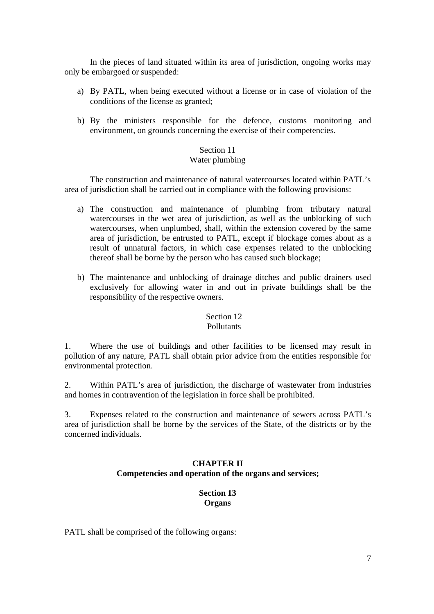In the pieces of land situated within its area of jurisdiction, ongoing works may only be embargoed or suspended:

- a) By PATL, when being executed without a license or in case of violation of the conditions of the license as granted;
- b) By the ministers responsible for the defence, customs monitoring and environment, on grounds concerning the exercise of their competencies.

# Section 11

### Water plumbing

The construction and maintenance of natural watercourses located within PATL's area of jurisdiction shall be carried out in compliance with the following provisions:

- a) The construction and maintenance of plumbing from tributary natural watercourses in the wet area of jurisdiction, as well as the unblocking of such watercourses, when unplumbed, shall, within the extension covered by the same area of jurisdiction, be entrusted to PATL, except if blockage comes about as a result of unnatural factors, in which case expenses related to the unblocking thereof shall be borne by the person who has caused such blockage;
- b) The maintenance and unblocking of drainage ditches and public drainers used exclusively for allowing water in and out in private buildings shall be the responsibility of the respective owners.

# Section 12

### **Pollutants**

1. Where the use of buildings and other facilities to be licensed may result in pollution of any nature, PATL shall obtain prior advice from the entities responsible for environmental protection.

2. Within PATL's area of jurisdiction, the discharge of wastewater from industries and homes in contravention of the legislation in force shall be prohibited.

3. Expenses related to the construction and maintenance of sewers across PATL's area of jurisdiction shall be borne by the services of the State, of the districts or by the concerned individuals.

### **CHAPTER II Competencies and operation of the organs and services;**

# **Section 13 Organs**

PATL shall be comprised of the following organs: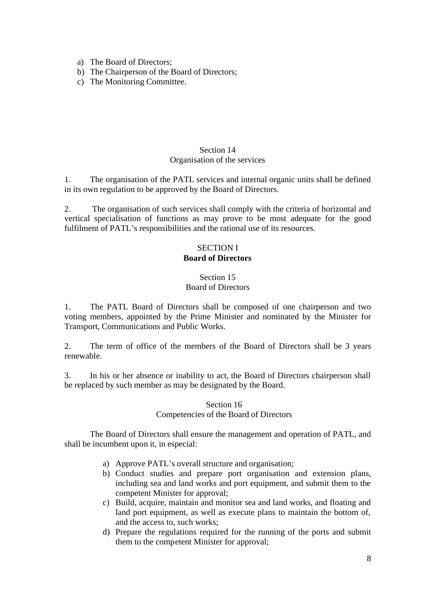- a) The Board of Directors;
- b) The Chairperson of the Board of Directors;
- c) The Monitoring Committee.

# Section 14 Organisation of the services

1. The organisation of the PATL services and internal organic units shall be defined in its own regulation to be approved by the Board of Directors.

2. The organisation of such services shall comply with the criteria of horizontal and vertical specialisation of functions as may prove to be most adequate for the good fulfilment of PATL's responsibilities and the rational use of its resources.

# SECTION I **Board of Directors**

### Section 15 Board of Directors

1. The PATL Board of Directors shall be composed of one chairperson and two voting members, appointed by the Prime Minister and nominated by the Minister for Transport, Communications and Public Works.

2. The term of office of the members of the Board of Directors shall be 3 years renewable.

3. In his or her absence or inability to act, the Board of Directors chairperson shall be replaced by such member as may be designated by the Board.

### Section 16 Competencies of the Board of Directors

The Board of Directors shall ensure the management and operation of PATL, and shall be incumbent upon it, in especial:

- a) Approve PATL's overall structure and organisation;
- b) Conduct studies and prepare port organisation and extension plans, including sea and land works and port equipment, and submit them to the competent Minister for approval;
- c) Build, acquire, maintain and monitor sea and land works, and floating and land port equipment, as well as execute plans to maintain the bottom of, and the access to, such works;
- d) Prepare the regulations required for the running of the ports and submit them to the competent Minister for approval;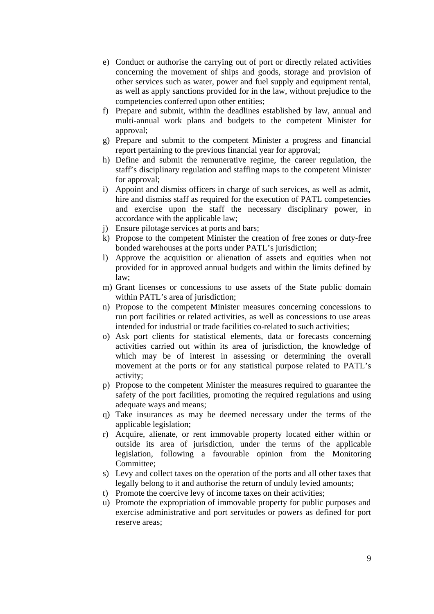- e) Conduct or authorise the carrying out of port or directly related activities concerning the movement of ships and goods, storage and provision of other services such as water, power and fuel supply and equipment rental, as well as apply sanctions provided for in the law, without prejudice to the competencies conferred upon other entities;
- f) Prepare and submit, within the deadlines established by law, annual and multi-annual work plans and budgets to the competent Minister for approval;
- g) Prepare and submit to the competent Minister a progress and financial report pertaining to the previous financial year for approval;
- h) Define and submit the remunerative regime, the career regulation, the staff's disciplinary regulation and staffing maps to the competent Minister for approval;
- i) Appoint and dismiss officers in charge of such services, as well as admit, hire and dismiss staff as required for the execution of PATL competencies and exercise upon the staff the necessary disciplinary power, in accordance with the applicable law;
- j) Ensure pilotage services at ports and bars;
- k) Propose to the competent Minister the creation of free zones or duty-free bonded warehouses at the ports under PATL's jurisdiction;
- l) Approve the acquisition or alienation of assets and equities when not provided for in approved annual budgets and within the limits defined by law;
- m) Grant licenses or concessions to use assets of the State public domain within PATL's area of jurisdiction;
- n) Propose to the competent Minister measures concerning concessions to run port facilities or related activities, as well as concessions to use areas intended for industrial or trade facilities co-related to such activities;
- o) Ask port clients for statistical elements, data or forecasts concerning activities carried out within its area of jurisdiction, the knowledge of which may be of interest in assessing or determining the overall movement at the ports or for any statistical purpose related to PATL's activity;
- p) Propose to the competent Minister the measures required to guarantee the safety of the port facilities, promoting the required regulations and using adequate ways and means;
- q) Take insurances as may be deemed necessary under the terms of the applicable legislation;
- r) Acquire, alienate, or rent immovable property located either within or outside its area of jurisdiction, under the terms of the applicable legislation, following a favourable opinion from the Monitoring Committee;
- s) Levy and collect taxes on the operation of the ports and all other taxes that legally belong to it and authorise the return of unduly levied amounts;
- t) Promote the coercive levy of income taxes on their activities;
- u) Promote the expropriation of immovable property for public purposes and exercise administrative and port servitudes or powers as defined for port reserve areas;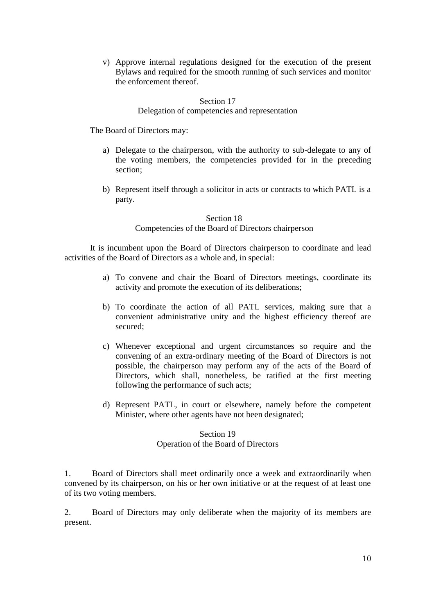v) Approve internal regulations designed for the execution of the present Bylaws and required for the smooth running of such services and monitor the enforcement thereof.

#### Section 17 Delegation of competencies and representation

The Board of Directors may:

- a) Delegate to the chairperson, with the authority to sub-delegate to any of the voting members, the competencies provided for in the preceding section;
- b) Represent itself through a solicitor in acts or contracts to which PATL is a party.

# Section 18 Competencies of the Board of Directors chairperson

It is incumbent upon the Board of Directors chairperson to coordinate and lead activities of the Board of Directors as a whole and, in special:

- a) To convene and chair the Board of Directors meetings, coordinate its activity and promote the execution of its deliberations;
- b) To coordinate the action of all PATL services, making sure that a convenient administrative unity and the highest efficiency thereof are secured;
- c) Whenever exceptional and urgent circumstances so require and the convening of an extra-ordinary meeting of the Board of Directors is not possible, the chairperson may perform any of the acts of the Board of Directors, which shall, nonetheless, be ratified at the first meeting following the performance of such acts;
- d) Represent PATL, in court or elsewhere, namely before the competent Minister, where other agents have not been designated;

# Section 19 Operation of the Board of Directors

1. Board of Directors shall meet ordinarily once a week and extraordinarily when convened by its chairperson, on his or her own initiative or at the request of at least one of its two voting members.

2. Board of Directors may only deliberate when the majority of its members are present.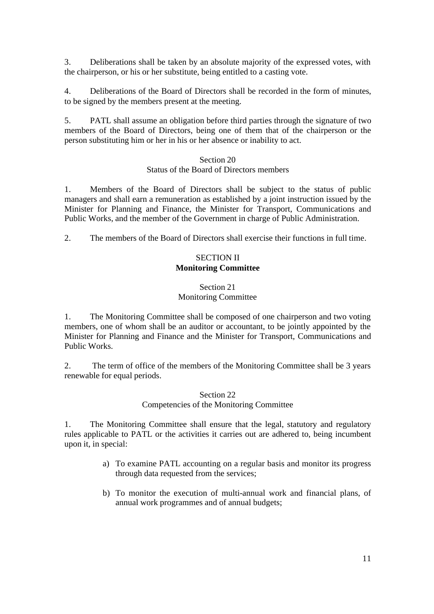3. Deliberations shall be taken by an absolute majority of the expressed votes, with the chairperson, or his or her substitute, being entitled to a casting vote.

4. Deliberations of the Board of Directors shall be recorded in the form of minutes, to be signed by the members present at the meeting.

5. PATL shall assume an obligation before third parties through the signature of two members of the Board of Directors, being one of them that of the chairperson or the person substituting him or her in his or her absence or inability to act.

#### Section 20

#### Status of the Board of Directors members

1. Members of the Board of Directors shall be subject to the status of public managers and shall earn a remuneration as established by a joint instruction issued by the Minister for Planning and Finance, the Minister for Transport, Communications and Public Works, and the member of the Government in charge of Public Administration.

2. The members of the Board of Directors shall exercise their functions in full time.

# SECTION II **Monitoring Committee**

### Section 21 Monitoring Committee

1. The Monitoring Committee shall be composed of one chairperson and two voting members, one of whom shall be an auditor or accountant, to be jointly appointed by the Minister for Planning and Finance and the Minister for Transport, Communications and Public Works.

2. The term of office of the members of the Monitoring Committee shall be 3 years renewable for equal periods.

### Section 22 Competencies of the Monitoring Committee

1. The Monitoring Committee shall ensure that the legal, statutory and regulatory rules applicable to PATL or the activities it carries out are adhered to, being incumbent upon it, in special:

- a) To examine PATL accounting on a regular basis and monitor its progress through data requested from the services;
- b) To monitor the execution of multi-annual work and financial plans, of annual work programmes and of annual budgets;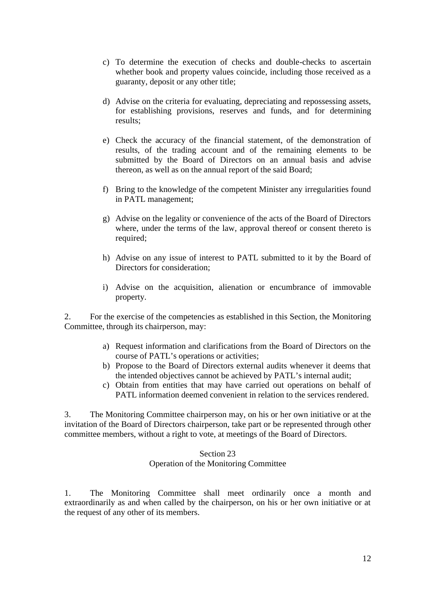- c) To determine the execution of checks and double-checks to ascertain whether book and property values coincide, including those received as a guaranty, deposit or any other title;
- d) Advise on the criteria for evaluating, depreciating and repossessing assets, for establishing provisions, reserves and funds, and for determining results;
- e) Check the accuracy of the financial statement, of the demonstration of results, of the trading account and of the remaining elements to be submitted by the Board of Directors on an annual basis and advise thereon, as well as on the annual report of the said Board;
- f) Bring to the knowledge of the competent Minister any irregularities found in PATL management;
- g) Advise on the legality or convenience of the acts of the Board of Directors where, under the terms of the law, approval thereof or consent thereto is required;
- h) Advise on any issue of interest to PATL submitted to it by the Board of Directors for consideration;
- i) Advise on the acquisition, alienation or encumbrance of immovable property.

2. For the exercise of the competencies as established in this Section, the Monitoring Committee, through its chairperson, may:

- a) Request information and clarifications from the Board of Directors on the course of PATL's operations or activities;
- b) Propose to the Board of Directors external audits whenever it deems that the intended objectives cannot be achieved by PATL's internal audit;
- c) Obtain from entities that may have carried out operations on behalf of PATL information deemed convenient in relation to the services rendered.

3. The Monitoring Committee chairperson may, on his or her own initiative or at the invitation of the Board of Directors chairperson, take part or be represented through other committee members, without a right to vote, at meetings of the Board of Directors.

# Section 23

# Operation of the Monitoring Committee

1. The Monitoring Committee shall meet ordinarily once a month and extraordinarily as and when called by the chairperson, on his or her own initiative or at the request of any other of its members.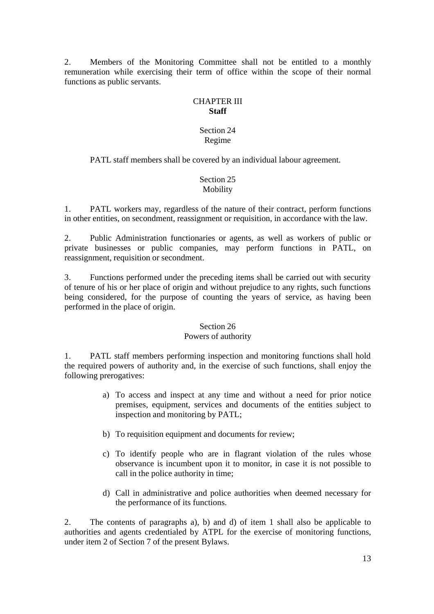2. Members of the Monitoring Committee shall not be entitled to a monthly remuneration while exercising their term of office within the scope of their normal functions as public servants.

### CHAPTER III **Staff**

# Section 24 Regime

PATL staff members shall be covered by an individual labour agreement.

# Section 25 Mobility

1. PATL workers may, regardless of the nature of their contract, perform functions in other entities, on secondment, reassignment or requisition, in accordance with the law.

2. Public Administration functionaries or agents, as well as workers of public or private businesses or public companies, may perform functions in PATL, on reassignment, requisition or secondment.

3. Functions performed under the preceding items shall be carried out with security of tenure of his or her place of origin and without prejudice to any rights, such functions being considered, for the purpose of counting the years of service, as having been performed in the place of origin.

# Section 26

# Powers of authority

1. PATL staff members performing inspection and monitoring functions shall hold the required powers of authority and, in the exercise of such functions, shall enjoy the following prerogatives:

- a) To access and inspect at any time and without a need for prior notice premises, equipment, services and documents of the entities subject to inspection and monitoring by PATL;
- b) To requisition equipment and documents for review;
- c) To identify people who are in flagrant violation of the rules whose observance is incumbent upon it to monitor, in case it is not possible to call in the police authority in time;
- d) Call in administrative and police authorities when deemed necessary for the performance of its functions.

2. The contents of paragraphs a), b) and d) of item 1 shall also be applicable to authorities and agents credentialed by ATPL for the exercise of monitoring functions, under item 2 of Section 7 of the present Bylaws.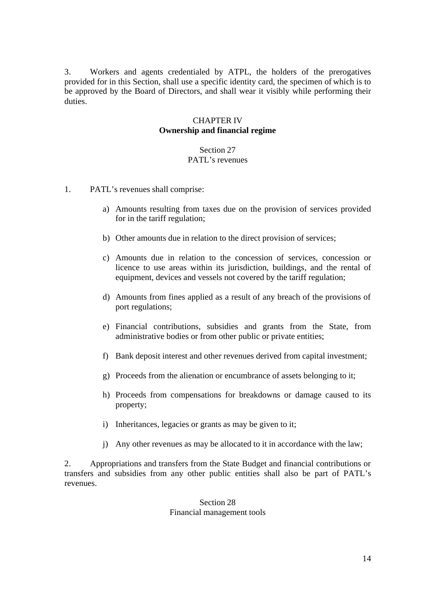3. Workers and agents credentialed by ATPL, the holders of the prerogatives provided for in this Section, shall use a specific identity card, the specimen of which is to be approved by the Board of Directors, and shall wear it visibly while performing their duties.

### CHAPTER IV **Ownership and financial regime**

# Section 27 PATL's revenues

- 1. PATL's revenues shall comprise:
	- a) Amounts resulting from taxes due on the provision of services provided for in the tariff regulation;
	- b) Other amounts due in relation to the direct provision of services;
	- c) Amounts due in relation to the concession of services, concession or licence to use areas within its jurisdiction, buildings, and the rental of equipment, devices and vessels not covered by the tariff regulation;
	- d) Amounts from fines applied as a result of any breach of the provisions of port regulations;
	- e) Financial contributions, subsidies and grants from the State, from administrative bodies or from other public or private entities;
	- f) Bank deposit interest and other revenues derived from capital investment;
	- g) Proceeds from the alienation or encumbrance of assets belonging to it;
	- h) Proceeds from compensations for breakdowns or damage caused to its property;
	- i) Inheritances, legacies or grants as may be given to it;
	- j) Any other revenues as may be allocated to it in accordance with the law;

2. Appropriations and transfers from the State Budget and financial contributions or transfers and subsidies from any other public entities shall also be part of PATL's revenues.

#### Section 28 Financial management tools